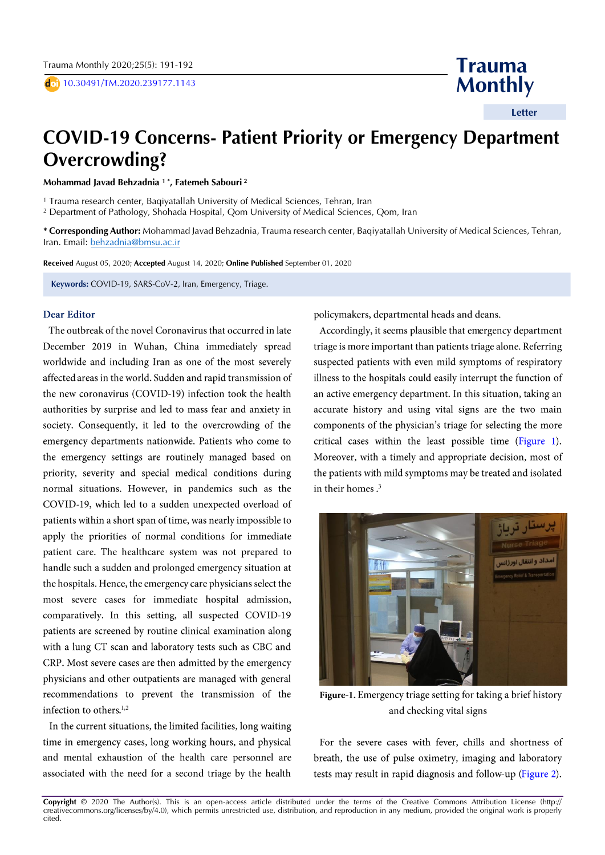doi) 10.30491/TM.2020.239177.1143

**Trauma Monthly**

 **Letter**

## **COVID-19 Concerns- Patient Priority or Emergency Department Overcrowding?**

**Mohammad Javad Behzadnia <sup>1</sup> \* , Fatemeh Sabouri <sup>2</sup>**

<sup>1</sup> Trauma research center, Baqiyatallah University of Medical Sciences, Tehran, Iran

<sup>2</sup> Department of Pathology, Shohada Hospital, Qom University of Medical Sciences, Qom, Iran

**\* Corresponding Author:** Mohammad Javad Behzadnia, Trauma research center, Baqiyatallah University of Medical Sciences, Tehran, Iran. Email: [behzadnia@bmsu.ac.ir](mailto:behzadnia@bmsu.ac.ir) 

**Received** August 05, 2020; **Accepted** August 14, 2020; **Online Published** September 01, 2020

**Keywords:** COVID-19, SARS-CoV-2, Iran, Emergency, Triage.

## **Dear Editor**

The outbreak of the novel Coronavirus that occurred in late December 2019 in Wuhan, China immediately spread worldwide and including Iran as one of the most severely affected areas in the world. Sudden and rapid transmission of the new coronavirus (COVID-19) infection took the health authorities by surprise and led to mass fear and anxiety in society. Consequently, it led to the overcrowding of the emergency departments nationwide. Patients who come to the emergency settings are routinely managed based on priority, severity and special medical conditions during normal situations. However, in pandemics such as the COVID-19, which led to a sudden unexpected overload of patients within a short span of time, was nearly impossible to apply the priorities of normal conditions for immediate patient care. The healthcare system was not prepared to handle such a sudden and prolonged emergency situation at the hospitals. Hence, the emergency care physicians select the most severe cases for immediate hospital admission, comparatively. In this setting, all suspected COVID-19 patients are screened by routine clinical examination along with a lung CT scan and laboratory tests such as CBC and CRP. Most severe cases are then admitted by the emergency physicians and other outpatients are managed with general recommendations to prevent the transmission of the infection to others.<sup>1,2</sup>

In the current situations, the limited facilities, long waiting time in emergency cases, long working hours, and physical and mental exhaustion of the health care personnel are associated with the need for a second triage by the health policymakers, departmental heads and deans.

Accordingly, it seems plausible that emergency department triage is more important than patients triage alone. Referring suspected patients with even mild symptoms of respiratory illness to the hospitals could easily interrupt the function of an active emergency department. In this situation, taking an accurate history and using vital signs are the two main components of the physician's triage for selecting the more critical cases within the least possible time (Figure 1). Moreover, with a timely and appropriate decision, most of the patients with mild symptoms may be treated and isolated in their homes.<sup>3</sup>



Figure-1. Emergency triage setting for taking a brief history and checking vital signs

For the severe cases with fever, chills and shortness of breath, the use of pulse oximetry, imaging and laboratory tests may result in rapid diagnosis and follow-up (Figure 2).

**Copyright** © 2020 The Author(s). This is an open-access article distributed under the terms of the Creative Commons Attribution License (http:// creativecommons.org/licenses/by/4.0), which permits unrestricted use, distribution, and reproduction in any medium, provided the original work is properly cited.